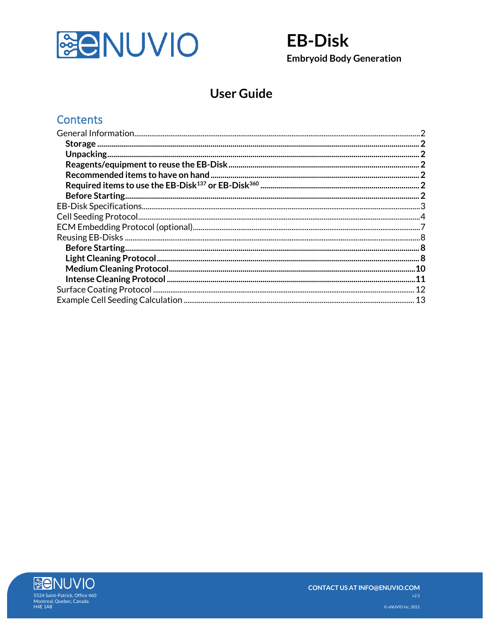

**EB-Disk Embryoid Body Generation** 

# **User Guide**

### **Contents**



**CONTACT US AT INFO@ENUVIO.COM** © eNUVIO Inc. 2021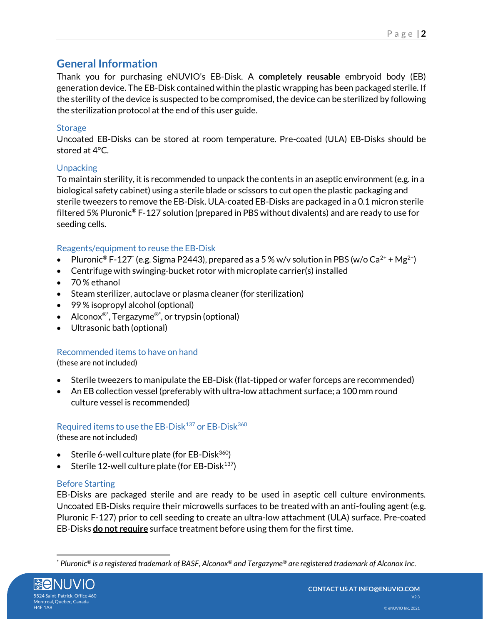### <span id="page-1-0"></span>**General Information**

Thank you for purchasing eNUVIO's EB-Disk. A **completely reusable** embryoid body (EB) generation device. The EB-Disk contained within the plastic wrapping has been packaged sterile. If the sterility of the device is suspected to be compromised, the device can be sterilized by following the sterilization protocol at the end of this user guide.

### <span id="page-1-1"></span>**Storage**

Uncoated EB-Disks can be stored at room temperature. Pre-coated (ULA) EB-Disks should be stored at 4°C.

### <span id="page-1-2"></span>**Unpacking**

To maintain sterility, it is recommended to unpack the contents in an aseptic environment (e.g. in a biological safety cabinet) using a sterile blade or scissors to cut open the plastic packaging and sterile tweezers to remove the EB-Disk. ULA-coated EB-Disks are packaged in a 0.1 micron sterile filtered 5% Pluronic® F-127 solution (prepared in PBS without divalents) and are ready to use for seeding cells.

### <span id="page-1-3"></span>Reagents/equipment to reuse the EB-Disk

- Pluronic® F-127\* (e.g. Sigma P2443), prepared as a 5 % w/v solution in PBS (w/o Ca $^{2+}$  + Mg $^{2+}$ )
- Centrifuge with swinging-bucket rotor with microplate carrier(s) installed
- 70 % ethanol
- Steam sterilizer, autoclave or plasma cleaner (for sterilization)
- 99% isopropyl alcohol (optional)
- Alconox $^{\circledast}$ ', Tergazyme $^{\circledast}$ ', or trypsin (optional)
- Ultrasonic bath (optional)

### <span id="page-1-4"></span>Recommended items to have on hand

(these are not included)

- Sterile tweezers to manipulate the EB-Disk (flat-tipped or wafer forceps are recommended)
- An EB collection vessel (preferably with ultra-low attachment surface; a 100 mm round culture vessel is recommended)

### <span id="page-1-5"></span>Required items to use the EB-Disk<sup>137</sup> or EB-Disk<sup>360</sup>

(these are not included)

- Sterile 6-well culture plate (for EB-Disk $360$ )
- Sterile 12-well culture plate (for EB-Disk $137$ )

### <span id="page-1-6"></span>Before Starting

EB-Disks are packaged sterile and are ready to be used in aseptic cell culture environments. Uncoated EB-Disks require their microwells surfaces to be treated with an anti-fouling agent (e.g. Pluronic F-127) prior to cell seeding to create an ultra-low attachment (ULA) surface. Pre-coated EB-Disks **do not require** surface treatment before using them for the first time.

<sup>\*</sup> *Pluronic® is a registered trademark of BASF, Alconox® and Tergazyme® are registered trademark of Alconox Inc.*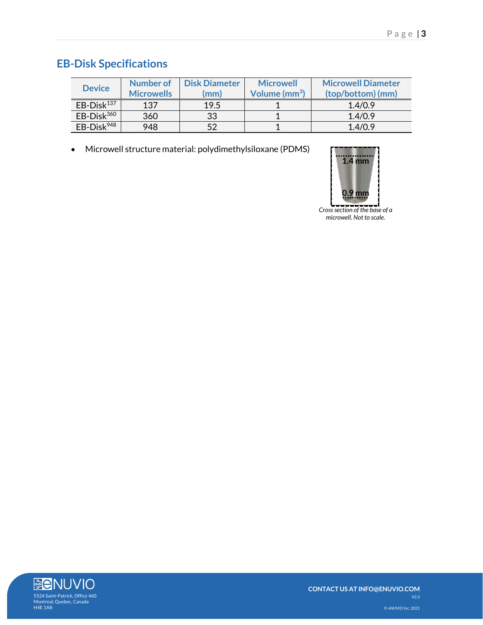# <span id="page-2-0"></span>**EB-Disk Specifications**

| <b>Device</b>          | Number of         | <b>Disk Diameter</b> | <b>Microwell</b>          | <b>Microwell Diameter</b> |
|------------------------|-------------------|----------------------|---------------------------|---------------------------|
|                        | <b>Microwells</b> | (mm)                 | Volume (mm <sup>3</sup> ) | (top/bottom) (mm)         |
| EB-Disk <sup>137</sup> | 137               | 19.5                 |                           | 1.4/0.9                   |
| $EB-Disk360$           | 360               | 33                   |                           | 1.4/0.9                   |
| EB-Disk <sup>948</sup> | 948               | 52                   |                           | 1.4/0.9                   |

• Microwell structure material: polydimethylsiloxane (PDMS)



*Cross section of the base of a microwell. Not to scale.*

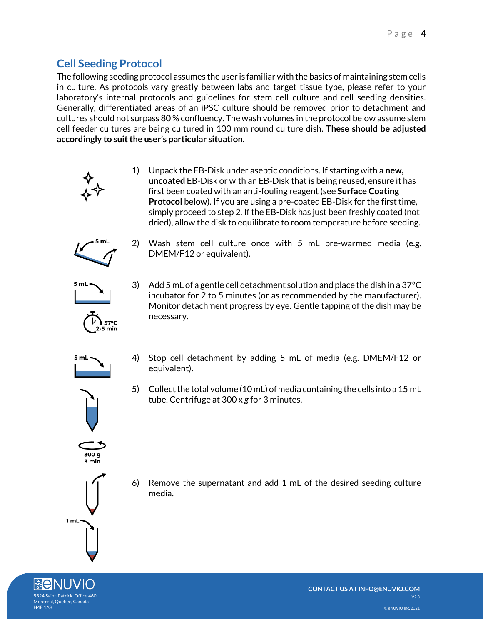## <span id="page-3-0"></span>**Cell Seeding Protocol**

The following seeding protocol assumes the user is familiar with the basics of maintaining stem cells in culture. As protocols vary greatly between labs and target tissue type, please refer to your laboratory's internal protocols and guidelines for stem cell culture and cell seeding densities. Generally, differentiated areas of an iPSC culture should be removed prior to detachment and cultures should not surpass 80 % confluency. The wash volumes in the protocol below assume stem cell feeder cultures are being cultured in 100 mm round culture dish. **These should be adjusted accordingly to suit the user's particular situation.**

> 1) Unpack the EB-Disk under aseptic conditions. If starting with a **new, uncoated** EB-Disk or with an EB-Disk that is being reused, ensure it has first been coated with an anti-fouling reagent (see **Surface Coating Protocol** below). If you are using a pre-coated EB-Disk for the first time, simply proceed to step 2. If the EB-Disk has just been freshly coated (not dried), allow the disk to equilibrate to room temperature before seeding.



2) Wash stem cell culture once with 5 mL pre-warmed media (e.g. DMEM/F12 or equivalent).



3) Add 5 mL of a gentle cell detachment solution and place the dish in a 37°C incubator for 2 to 5 minutes (or as recommended by the manufacturer). Monitor detachment progress by eye. Gentle tapping of the dish may be necessary.



- 4) Stop cell detachment by adding 5 mL of media (e.g. DMEM/F12 or equivalent).
- 5) Collect the total volume (10 mL) of media containing the cells into a 15 mL tube. Centrifuge at 300 x *g* for 3 minutes.



3 min

6) Remove the supernatant and add 1 mL of the desired seeding culture media.



 $1<sub>mL</sub>$ 

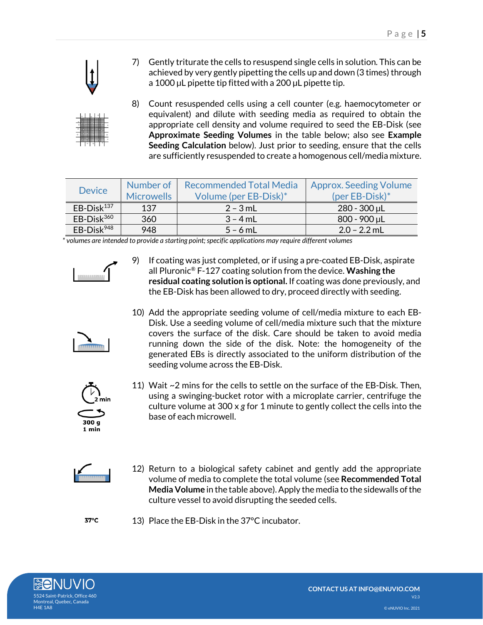

- 7) Gently triturate the cells to resuspend single cells in solution. This can be achieved by very gently pipetting the cells up and down (3 times) through a 1000 µL pipette tip fitted with a 200 µL pipette tip.
- 8) Count resuspended cells using a cell counter (e.g. haemocytometer or equivalent) and dilute with seeding media as required to obtain the appropriate cell density and volume required to seed the EB-Disk (see **Approximate Seeding Volumes** in the table below; also see **Example Seeding Calculation** below). Just prior to seeding, ensure that the cells are sufficiently resuspended to create a homogenous cell/media mixture.

| <b>Device</b>          | Number of<br><b>Microwells</b> | <b>Recommended Total Media</b><br>Volume (per EB-Disk)* | <b>Approx. Seeding Volume</b><br>(per $EB-Disk$ )* |
|------------------------|--------------------------------|---------------------------------------------------------|----------------------------------------------------|
| EB-Disk <sup>137</sup> | 137                            | $2 - 3$ mL                                              | $280 - 300$ µL                                     |
| $EB-Disk360$           | 360                            | $3 - 4$ mL                                              | 800 - 900 µL                                       |
| EB-Disk <sup>948</sup> | 948                            | $5 - 6$ mL                                              | $2.0 - 2.2$ mL                                     |

*\* volumes are intended to provide a starting point; specific applications may require different volumes*

- 
- 9) If coating was just completed, or if using a pre-coated EB-Disk, aspirate all Pluronic® F-127 coating solution from the device. **Washing the residual coating solution is optional.** If coating was done previously, and the EB-Disk has been allowed to dry, proceed directly with seeding.
- 10) Add the appropriate seeding volume of cell/media mixture to each EB-Disk. Use a seeding volume of cell/media mixture such that the mixture covers the surface of the disk. Care should be taken to avoid media running down the side of the disk. Note: the homogeneity of the generated EBs is directly associated to the uniform distribution of the seeding volume across the EB-Disk.



11) Wait ~2 mins for the cells to settle on the surface of the EB-Disk. Then, using a swinging-bucket rotor with a microplate carrier, centrifuge the culture volume at 300 x *g* for 1 minute to gently collect the cells into the base of each microwell.



 $37^{\circ}$ C

- 12) Return to a biological safety cabinet and gently add the appropriate volume of media to complete the total volume (see **Recommended Total Media Volume** in the table above).Apply the media to the sidewalls of the culture vessel to avoid disrupting the seeded cells.
- 13) Place the EB-Disk in the 37°C incubator.

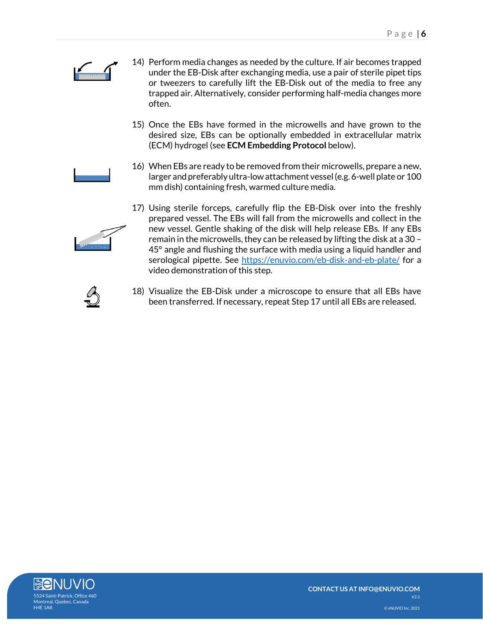

- 14) Perform media changes as needed by the culture. If air becomes trapped under the EB-Disk after exchanging media, use a pair of sterile pipet tips or tweezers to carefully lift the EB-Disk out of the media to free any trapped air. Alternatively, consider performing half-media changes more often.
- 15) Once the EBs have formed in the microwells and have grown to the desired size, EBs can be optionally embedded in extracellular matrix (ECM) hydrogel (see **ECM Embedding Protocol** below).
- 16) When EBs are ready to be removed from their microwells, prepare a new, larger and preferably ultra-low attachment vessel (e.g. 6-well plate or 100 mm dish) containing fresh, warmed culture media.
- 17) Using sterile forceps, carefully flip the EB-Disk over into the freshly prepared vessel. The EBs will fall from the microwells and collect in the new vessel. Gentle shaking of the disk will help release EBs. If any EBs remain in the microwells, they can be released by lifting the disk at a 30 – 45° angle and flushing the surface with media using a liquid handler and serological pipette. See<https://enuvio.com/eb-disk-and-eb-plate/> for a video demonstration of this step.
- 18) Visualize the EB-Disk under a microscope to ensure that all EBs have been transferred. If necessary, repeat Step 17 until all EBs are released.





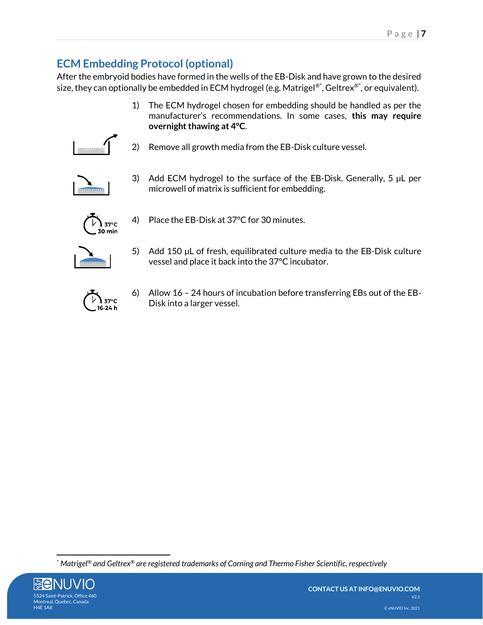## <span id="page-6-0"></span>**ECM Embedding Protocol (optional)**

After the embryoid bodies have formed in the wells of the EB-Disk and have grown to the desired size, they can optionally be embedded in ECM hydrogel (e.g. Matrigel®\*, Geltrex®\*, or equivalent).

> 1) The ECM hydrogel chosen for embedding should be handled as per the manufacturer's recommendations. In some cases, **this may require overnight thawing at 4°C**.



2) Remove all growth media from the EB-Disk culture vessel.



3) Add ECM hydrogel to the surface of the EB-Disk. Generally, 5 µL per microwell of matrix is sufficient for embedding.



4) Place the EB-Disk at 37°C for 30 minutes.



5) Add 150 µL of fresh, equilibrated culture media to the EB-Disk culture vessel and place it back into the 37°C incubator.



6) Allow 16 – 24 hours of incubation before transferring EBs out of the EB-Disk into a larger vessel.

<sup>\*</sup> *Matrigel® and Geltrex® are registered trademarks of Corning and Thermo Fisher Scientific, respectively*

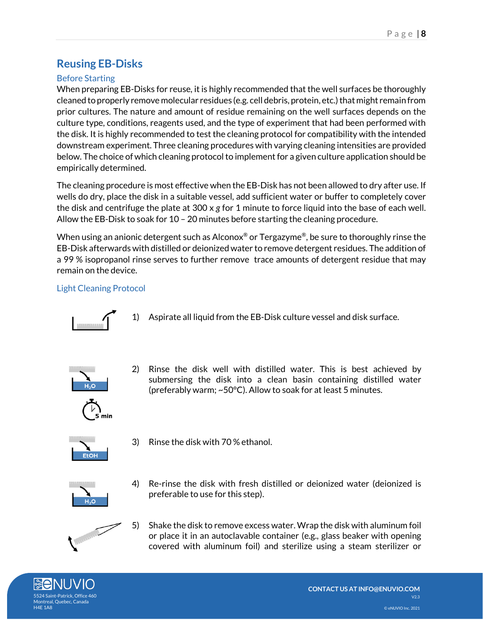## <span id="page-7-0"></span>**Reusing EB-Disks**

### <span id="page-7-1"></span>Before Starting

When preparing EB-Disks for reuse, it is highly recommended that the well surfaces be thoroughly cleaned to properly remove molecular residues (e.g. cell debris, protein, etc.) that might remain from prior cultures. The nature and amount of residue remaining on the well surfaces depends on the culture type, conditions, reagents used, and the type of experiment that had been performed with the disk. It is highly recommended to test the cleaning protocol for compatibility with the intended downstream experiment. Three cleaning procedures with varying cleaning intensities are provided below. The choice of which cleaning protocol to implement for a given culture application should be empirically determined.

The cleaning procedure is most effective when the EB-Disk has not been allowed to dry after use. If wells do dry, place the disk in a suitable vessel, add sufficient water or buffer to completely cover the disk and centrifuge the plate at 300 x *g* for 1 minute to force liquid into the base of each well. Allow the EB-Disk to soak for 10 – 20 minutes before starting the cleaning procedure.

When using an anionic detergent such as Alconox® or Tergazyme®, be sure to thoroughly rinse the EB-Disk afterwards with distilled or deionized water to remove detergent residues. The addition of a 99 % isopropanol rinse serves to further remove trace amounts of detergent residue that may remain on the device.

### <span id="page-7-2"></span>Light Cleaning Protocol



1) Aspirate all liquid from the EB-Disk culture vessel and disk surface.



2) Rinse the disk well with distilled water. This is best achieved by submersing the disk into a clean basin containing distilled water (preferably warm; ~50°C). Allow to soak for at least 5 minutes.



3) Rinse the disk with 70 % ethanol.



4) Re-rinse the disk with fresh distilled or deionized water (deionized is preferable to use for this step).



5) Shake the disk to remove excess water. Wrap the disk with aluminum foil or place it in an autoclavable container (e.g., glass beaker with opening covered with aluminum foil) and sterilize using a steam sterilizer or

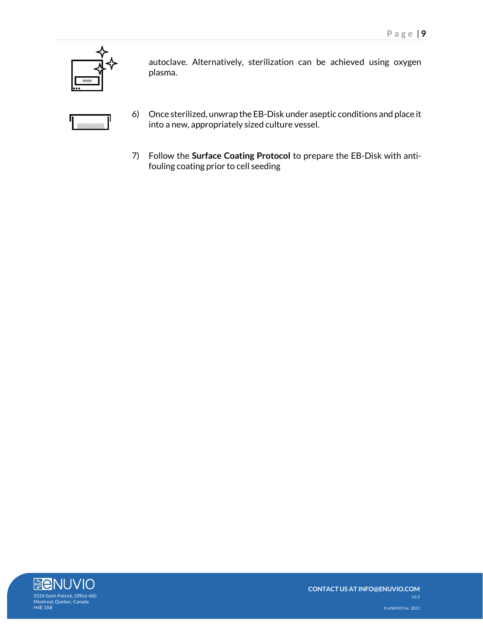

autoclave. Alternatively, sterilization can be achieved using oxygen plasma.



- 6) Once sterilized, unwrap the EB-Disk under aseptic conditions and place it into a new, appropriately sized culture vessel.
- 7) Follow the **Surface Coating Protocol** to prepare the EB-Disk with antifouling coating prior to cell seeding

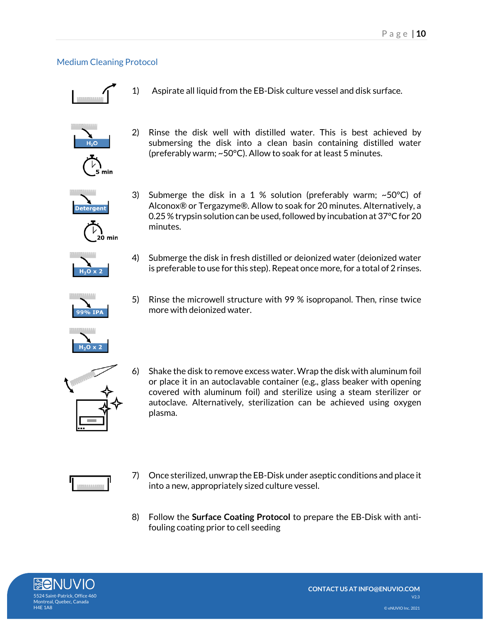### <span id="page-9-0"></span>Medium Cleaning Protocol



1) Aspirate all liquid from the EB-Disk culture vessel and disk surface.



2) Rinse the disk well with distilled water. This is best achieved by submersing the disk into a clean basin containing distilled water (preferably warm; ~50°C). Allow to soak for at least 5 minutes.



.<br>20 min

- 3) Submerge the disk in a 1 % solution (preferably warm;  $\sim$  50°C) of Alconox® or Tergazyme®. Allow to soak for 20 minutes. Alternatively, a 0.25 % trypsin solution can be used, followed by incubation at 37°C for 20 minutes.
- 4) Submerge the disk in fresh distilled or deionized water (deionized water is preferable to use for this step). Repeat once more, for a total of 2 rinses.



 $H<sub>2</sub>O \times 2$ 

 $H<sub>2</sub>O \times 2$ 

5) Rinse the microwell structure with 99 % isopropanol. Then, rinse twice more with deionized water.



6) Shake the disk to remove excess water. Wrap the disk with aluminum foil or place it in an autoclavable container (e.g., glass beaker with opening covered with aluminum foil) and sterilize using a steam sterilizer or autoclave. Alternatively, sterilization can be achieved using oxygen plasma.



- 7) Once sterilized, unwrap the EB-Disk under aseptic conditions and place it into a new, appropriately sized culture vessel.
- 8) Follow the **Surface Coating Protocol** to prepare the EB-Disk with antifouling coating prior to cell seeding

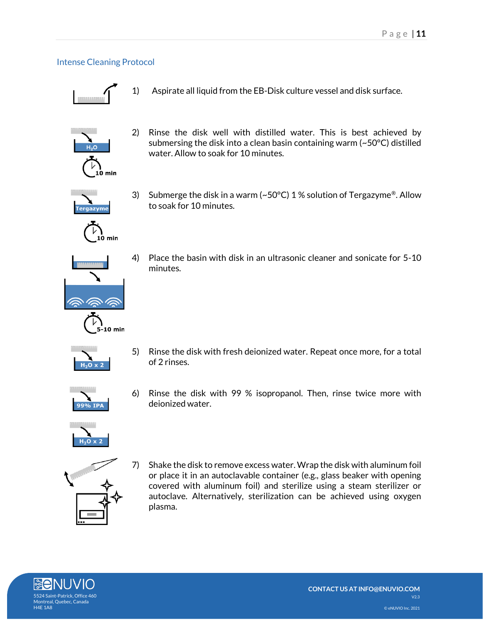### <span id="page-10-0"></span>Intense Cleaning Protocol



1) Aspirate all liquid from the EB-Disk culture vessel and disk surface.



2) Rinse the disk well with distilled water. This is best achieved by submersing the disk into a clean basin containing warm (~50°C) distilled water. Allow to soak for 10 minutes.



 $\overline{V}$ 

min

3) Submerge the disk in a warm (~50°C) 1% solution of Tergazyme®. Allow to soak for 10 minutes.



4) Place the basin with disk in an ultrasonic cleaner and sonicate for 5-10 minutes.



5) Rinse the disk with fresh deionized water. Repeat once more, for a total of 2 rinses.



6) Rinse the disk with 99 % isopropanol. Then, rinse twice more with deionized water.





7) Shake the disk to remove excess water. Wrap the disk with aluminum foil or place it in an autoclavable container (e.g., glass beaker with opening covered with aluminum foil) and sterilize using a steam sterilizer or autoclave. Alternatively, sterilization can be achieved using oxygen plasma.

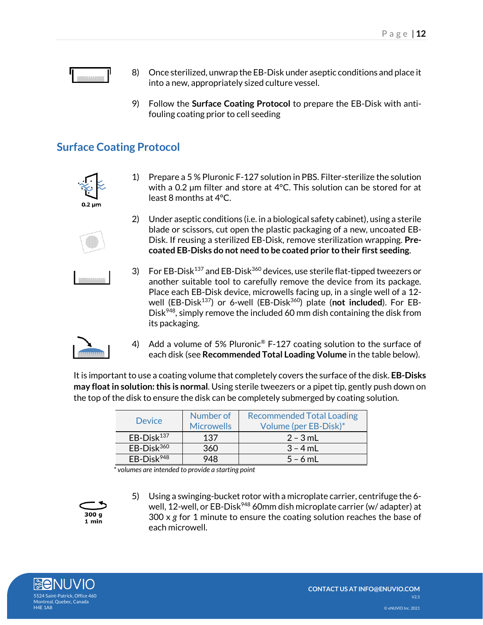

- 8) Once sterilized, unwrap the EB-Disk under aseptic conditions and place it into a new, appropriately sized culture vessel.
- 9) Follow the **Surface Coating Protocol** to prepare the EB-Disk with antifouling coating prior to cell seeding

### <span id="page-11-0"></span>**Surface Coating Protocol**



1) Prepare a 5 % Pluronic F-127 solution in PBS. Filter-sterilize the solution with a 0.2 µm filter and store at 4°C. This solution can be stored for at least 8 months at 4°C.



- 2) Under aseptic conditions (i.e. in a biological safety cabinet), using a sterile blade or scissors, cut open the plastic packaging of a new, uncoated EB-Disk. If reusing a sterilized EB-Disk, remove sterilization wrapping. **Precoated EB-Disks do not need to be coated prior to their first seeding**.
- 3) For EB-Disk<sup>137</sup> and EB-Disk<sup>360</sup> devices, use sterile flat-tipped tweezers or another suitable tool to carefully remove the device from its package. Place each EB-Disk device, microwells facing up, in a single well of a 12 well (EB-Disk<sup>137</sup>) or 6-well (EB-Disk<sup>360</sup>) plate (**not included**). For EB-Disk<sup>948</sup>, simply remove the included 60 mm dish containing the disk from its packaging.



4) Add a volume of 5% Pluronic<sup>®</sup> F-127 coating solution to the surface of each disk (see **Recommended Total Loading Volume** in the table below).

It is important to use a coating volume that completely covers the surface of the disk. **EB-Disks may float in solution: this is normal**. Using sterile tweezers or a pipet tip, gently push down on the top of the disk to ensure the disk can be completely submerged by coating solution.

| <b>Device</b>          | Number of<br><b>Microwells</b> | <b>Recommended Total Loading</b><br>Volume (per EB-Disk)* |
|------------------------|--------------------------------|-----------------------------------------------------------|
| EB-Disk <sup>137</sup> | 137                            | $2 - 3$ mL                                                |
| $EB-Disk360$           | 360                            | $3 - 4$ mL                                                |
| $EB-Disk948$           | 0∆2                            | $5 - 6$ mL                                                |

 *\* volumes are intended to provide a starting point*



5) Using a swinging-bucket rotor with a microplate carrier, centrifuge the 6 well, 12-well, or EB-Disk<sup>948</sup> 60mm dish microplate carrier (w/ adapter) at 300 x *g* for 1 minute to ensure the coating solution reaches the base of each microwell.